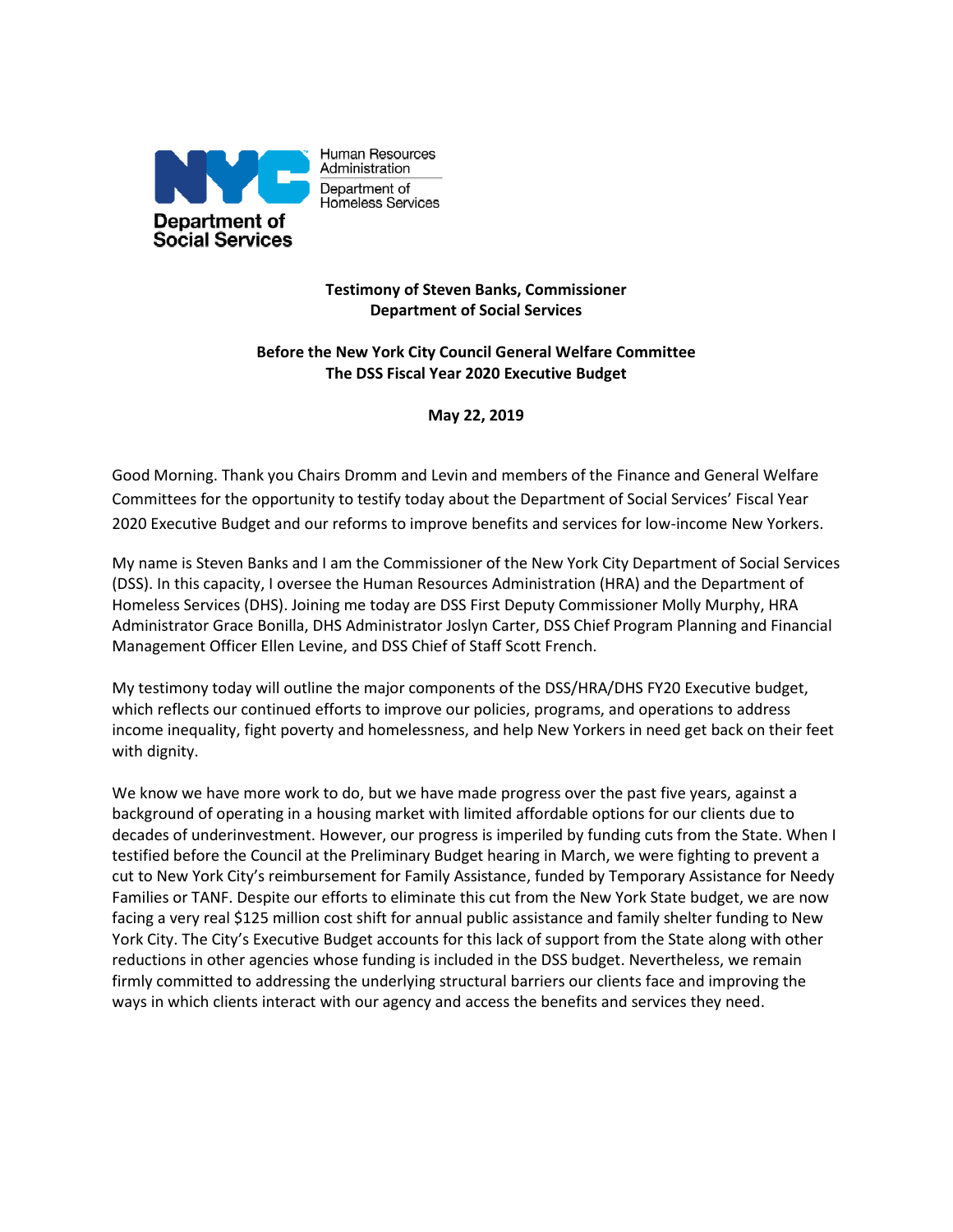

Human Resources Administration Department of Homeless Services

# **Testimony of Steven Banks, Commissioner Department of Social Services**

## **Before the New York City Council General Welfare Committee The DSS Fiscal Year 2020 Executive Budget**

**May 22, 2019**

Good Morning. Thank you Chairs Dromm and Levin and members of the Finance and General Welfare Committees for the opportunity to testify today about the Department of Social Services' Fiscal Year 2020 Executive Budget and our reforms to improve benefits and services for low-income New Yorkers.

My name is Steven Banks and I am the Commissioner of the New York City Department of Social Services (DSS). In this capacity, I oversee the Human Resources Administration (HRA) and the Department of Homeless Services (DHS). Joining me today are DSS First Deputy Commissioner Molly Murphy, HRA Administrator Grace Bonilla, DHS Administrator Joslyn Carter, DSS Chief Program Planning and Financial Management Officer Ellen Levine, and DSS Chief of Staff Scott French.

My testimony today will outline the major components of the DSS/HRA/DHS FY20 Executive budget, which reflects our continued efforts to improve our policies, programs, and operations to address income inequality, fight poverty and homelessness, and help New Yorkers in need get back on their feet with dignity.

We know we have more work to do, but we have made progress over the past five years, against a background of operating in a housing market with limited affordable options for our clients due to decades of underinvestment. However, our progress is imperiled by funding cuts from the State. When I testified before the Council at the Preliminary Budget hearing in March, we were fighting to prevent a cut to New York City's reimbursement for Family Assistance, funded by Temporary Assistance for Needy Families or TANF. Despite our efforts to eliminate this cut from the New York State budget, we are now facing a very real \$125 million cost shift for annual public assistance and family shelter funding to New York City. The City's Executive Budget accounts for this lack of support from the State along with other reductions in other agencies whose funding is included in the DSS budget. Nevertheless, we remain firmly committed to addressing the underlying structural barriers our clients face and improving the ways in which clients interact with our agency and access the benefits and services they need.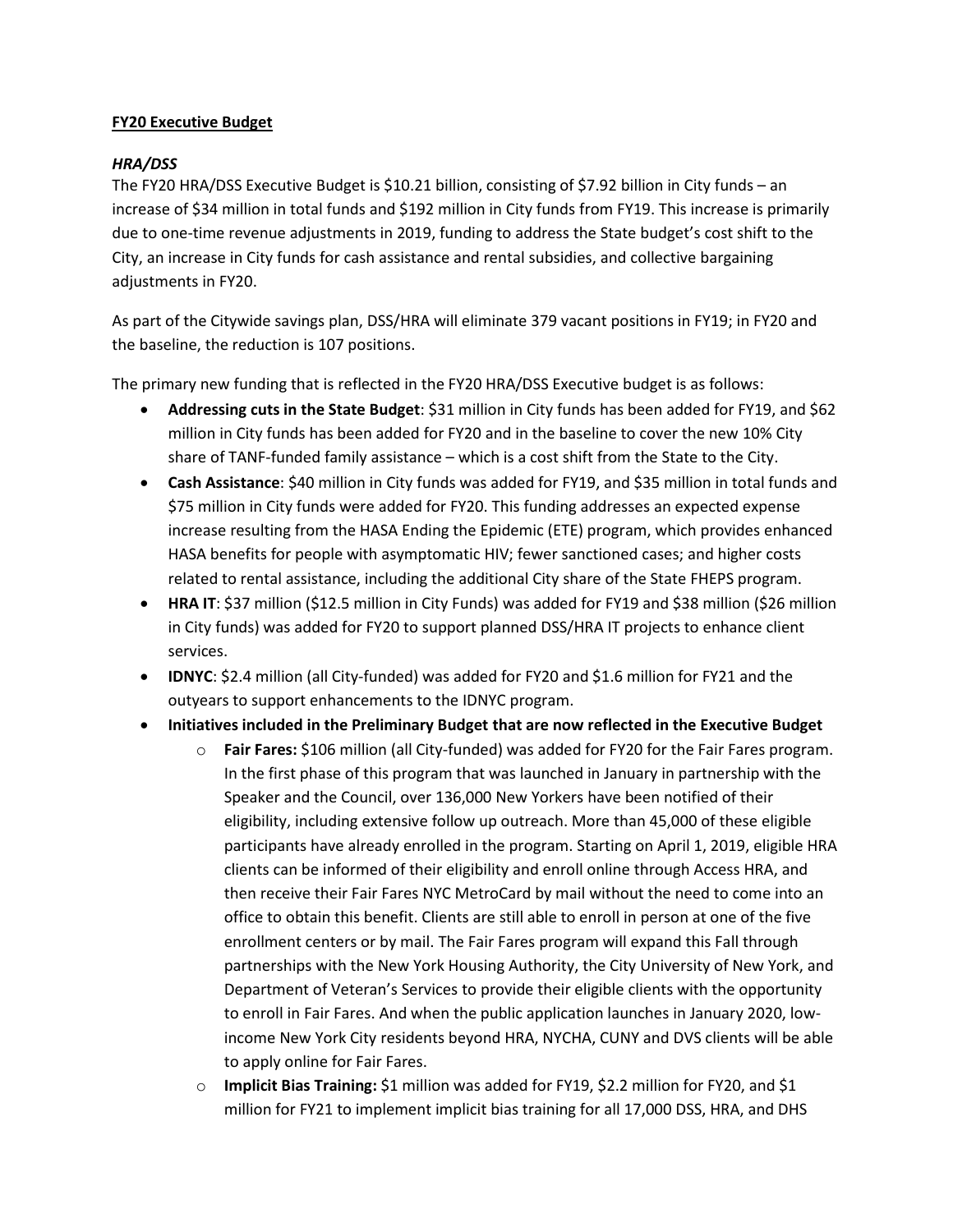## **FY20 Executive Budget**

## *HRA/DSS*

The FY20 HRA/DSS Executive Budget is \$10.21 billion, consisting of \$7.92 billion in City funds – an increase of \$34 million in total funds and \$192 million in City funds from FY19. This increase is primarily due to one-time revenue adjustments in 2019, funding to address the State budget's cost shift to the City, an increase in City funds for cash assistance and rental subsidies, and collective bargaining adjustments in FY20.

As part of the Citywide savings plan, DSS/HRA will eliminate 379 vacant positions in FY19; in FY20 and the baseline, the reduction is 107 positions.

The primary new funding that is reflected in the FY20 HRA/DSS Executive budget is as follows:

- **Addressing cuts in the State Budget**: \$31 million in City funds has been added for FY19, and \$62 million in City funds has been added for FY20 and in the baseline to cover the new 10% City share of TANF-funded family assistance – which is a cost shift from the State to the City.
- **Cash Assistance**: \$40 million in City funds was added for FY19, and \$35 million in total funds and \$75 million in City funds were added for FY20. This funding addresses an expected expense increase resulting from the HASA Ending the Epidemic (ETE) program, which provides enhanced HASA benefits for people with asymptomatic HIV; fewer sanctioned cases; and higher costs related to rental assistance, including the additional City share of the State FHEPS program.
- **HRA IT:** \$37 million (\$12.5 million in City Funds) was added for FY19 and \$38 million (\$26 million in City funds) was added for FY20 to support planned DSS/HRA IT projects to enhance client services.
- **IDNYC**: \$2.4 million (all City-funded) was added for FY20 and \$1.6 million for FY21 and the outyears to support enhancements to the IDNYC program.
- **Initiatives included in the Preliminary Budget that are now reflected in the Executive Budget**
	- o **Fair Fares:** \$106 million (all City-funded) was added for FY20 for the Fair Fares program. In the first phase of this program that was launched in January in partnership with the Speaker and the Council, over 136,000 New Yorkers have been notified of their eligibility, including extensive follow up outreach. More than 45,000 of these eligible participants have already enrolled in the program. Starting on April 1, 2019, eligible HRA clients can be informed of their eligibility and enroll online through Access HRA, and then receive their Fair Fares NYC MetroCard by mail without the need to come into an office to obtain this benefit. Clients are still able to enroll in person at one of the five enrollment centers or by mail. The Fair Fares program will expand this Fall through partnerships with the New York Housing Authority, the City University of New York, and Department of Veteran's Services to provide their eligible clients with the opportunity to enroll in Fair Fares. And when the public application launches in January 2020, lowincome New York City residents beyond HRA, NYCHA, CUNY and DVS clients will be able to apply online for Fair Fares.
	- o **Implicit Bias Training:** \$1 million was added for FY19, \$2.2 million for FY20, and \$1 million for FY21 to implement implicit bias training for all 17,000 DSS, HRA, and DHS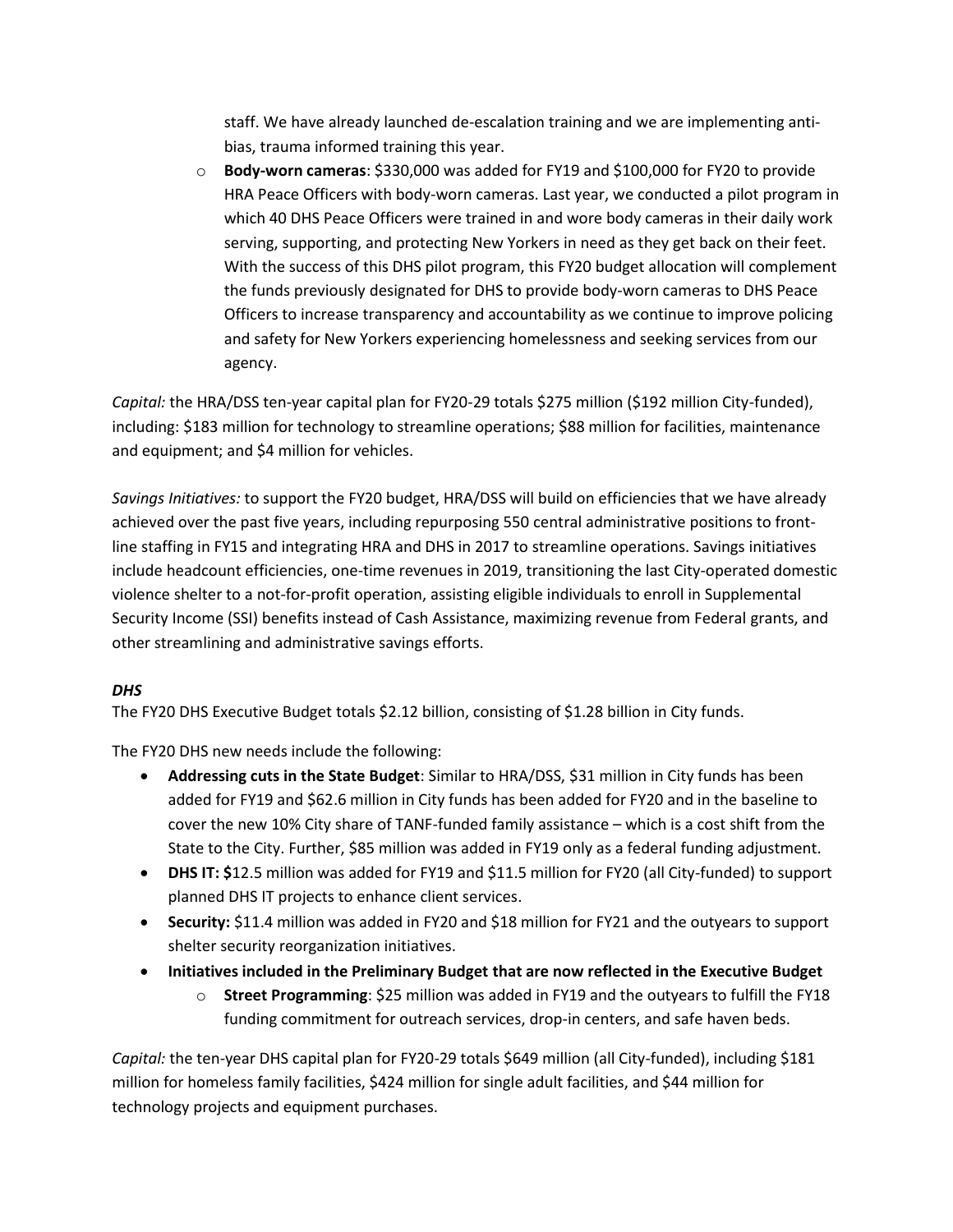staff. We have already launched de-escalation training and we are implementing antibias, trauma informed training this year.

o **Body-worn cameras**: \$330,000 was added for FY19 and \$100,000 for FY20 to provide HRA Peace Officers with body-worn cameras. Last year, we conducted a pilot program in which 40 DHS Peace Officers were trained in and wore body cameras in their daily work serving, supporting, and protecting New Yorkers in need as they get back on their feet. With the success of this DHS pilot program, this FY20 budget allocation will complement the funds previously designated for DHS to provide body-worn cameras to DHS Peace Officers to increase transparency and accountability as we continue to improve policing and safety for New Yorkers experiencing homelessness and seeking services from our agency.

*Capital:* the HRA/DSS ten-year capital plan for FY20-29 totals \$275 million (\$192 million City-funded), including: \$183 million for technology to streamline operations; \$88 million for facilities, maintenance and equipment; and \$4 million for vehicles.

*Savings Initiatives:* to support the FY20 budget, HRA/DSS will build on efficiencies that we have already achieved over the past five years, including repurposing 550 central administrative positions to frontline staffing in FY15 and integrating HRA and DHS in 2017 to streamline operations. Savings initiatives include headcount efficiencies, one-time revenues in 2019, transitioning the last City-operated domestic violence shelter to a not-for-profit operation, assisting eligible individuals to enroll in Supplemental Security Income (SSI) benefits instead of Cash Assistance, maximizing revenue from Federal grants, and other streamlining and administrative savings efforts.

# *DHS*

The FY20 DHS Executive Budget totals \$2.12 billion, consisting of \$1.28 billion in City funds.

The FY20 DHS new needs include the following:

- **Addressing cuts in the State Budget**: Similar to HRA/DSS, \$31 million in City funds has been added for FY19 and \$62.6 million in City funds has been added for FY20 and in the baseline to cover the new 10% City share of TANF-funded family assistance – which is a cost shift from the State to the City. Further, \$85 million was added in FY19 only as a federal funding adjustment.
- **DHS IT: \$**12.5 million was added for FY19 and \$11.5 million for FY20 (all City-funded) to support planned DHS IT projects to enhance client services.
- **Security:** \$11.4 million was added in FY20 and \$18 million for FY21 and the outyears to support shelter security reorganization initiatives.
- **Initiatives included in the Preliminary Budget that are now reflected in the Executive Budget**
	- o **Street Programming**: \$25 million was added in FY19 and the outyears to fulfill the FY18 funding commitment for outreach services, drop-in centers, and safe haven beds.

*Capital:* the ten-year DHS capital plan for FY20-29 totals \$649 million (all City-funded), including \$181 million for homeless family facilities, \$424 million for single adult facilities, and \$44 million for technology projects and equipment purchases.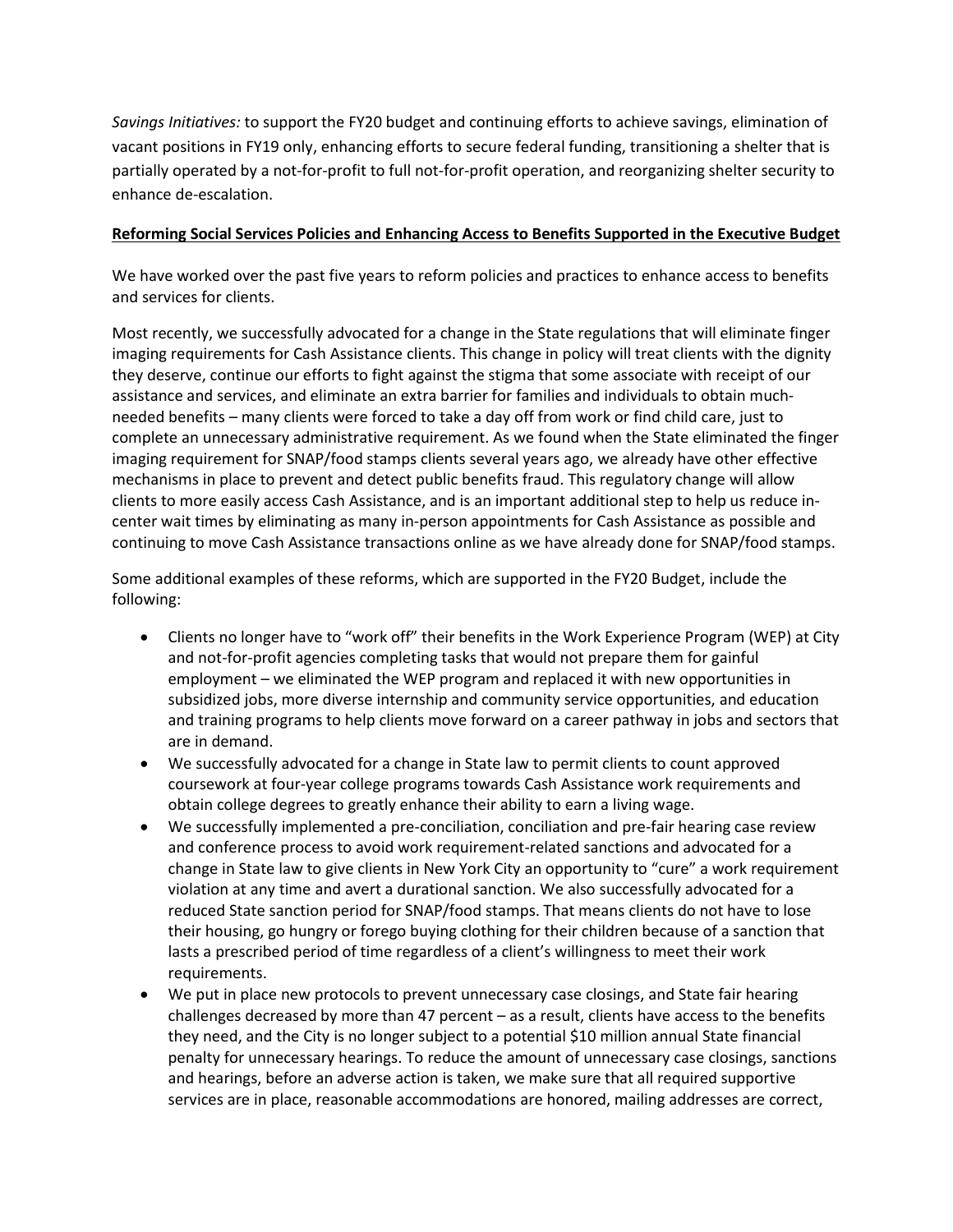*Savings Initiatives:* to support the FY20 budget and continuing efforts to achieve savings, elimination of vacant positions in FY19 only, enhancing efforts to secure federal funding, transitioning a shelter that is partially operated by a not-for-profit to full not-for-profit operation, and reorganizing shelter security to enhance de-escalation.

### **Reforming Social Services Policies and Enhancing Access to Benefits Supported in the Executive Budget**

We have worked over the past five years to reform policies and practices to enhance access to benefits and services for clients.

Most recently, we successfully advocated for a change in the State regulations that will eliminate finger imaging requirements for Cash Assistance clients. This change in policy will treat clients with the dignity they deserve, continue our efforts to fight against the stigma that some associate with receipt of our assistance and services, and eliminate an extra barrier for families and individuals to obtain muchneeded benefits – many clients were forced to take a day off from work or find child care, just to complete an unnecessary administrative requirement. As we found when the State eliminated the finger imaging requirement for SNAP/food stamps clients several years ago, we already have other effective mechanisms in place to prevent and detect public benefits fraud. This regulatory change will allow clients to more easily access Cash Assistance, and is an important additional step to help us reduce incenter wait times by eliminating as many in-person appointments for Cash Assistance as possible and continuing to move Cash Assistance transactions online as we have already done for SNAP/food stamps.

Some additional examples of these reforms, which are supported in the FY20 Budget, include the following:

- Clients no longer have to "work off" their benefits in the Work Experience Program (WEP) at City and not-for-profit agencies completing tasks that would not prepare them for gainful employment – we eliminated the WEP program and replaced it with new opportunities in subsidized jobs, more diverse internship and community service opportunities, and education and training programs to help clients move forward on a career pathway in jobs and sectors that are in demand.
- We successfully advocated for a change in State law to permit clients to count approved coursework at four-year college programs towards Cash Assistance work requirements and obtain college degrees to greatly enhance their ability to earn a living wage.
- We successfully implemented a pre-conciliation, conciliation and pre-fair hearing case review and conference process to avoid work requirement-related sanctions and advocated for a change in State law to give clients in New York City an opportunity to "cure" a work requirement violation at any time and avert a durational sanction. We also successfully advocated for a reduced State sanction period for SNAP/food stamps. That means clients do not have to lose their housing, go hungry or forego buying clothing for their children because of a sanction that lasts a prescribed period of time regardless of a client's willingness to meet their work requirements.
- We put in place new protocols to prevent unnecessary case closings, and State fair hearing challenges decreased by more than 47 percent – as a result, clients have access to the benefits they need, and the City is no longer subject to a potential \$10 million annual State financial penalty for unnecessary hearings. To reduce the amount of unnecessary case closings, sanctions and hearings, before an adverse action is taken, we make sure that all required supportive services are in place, reasonable accommodations are honored, mailing addresses are correct,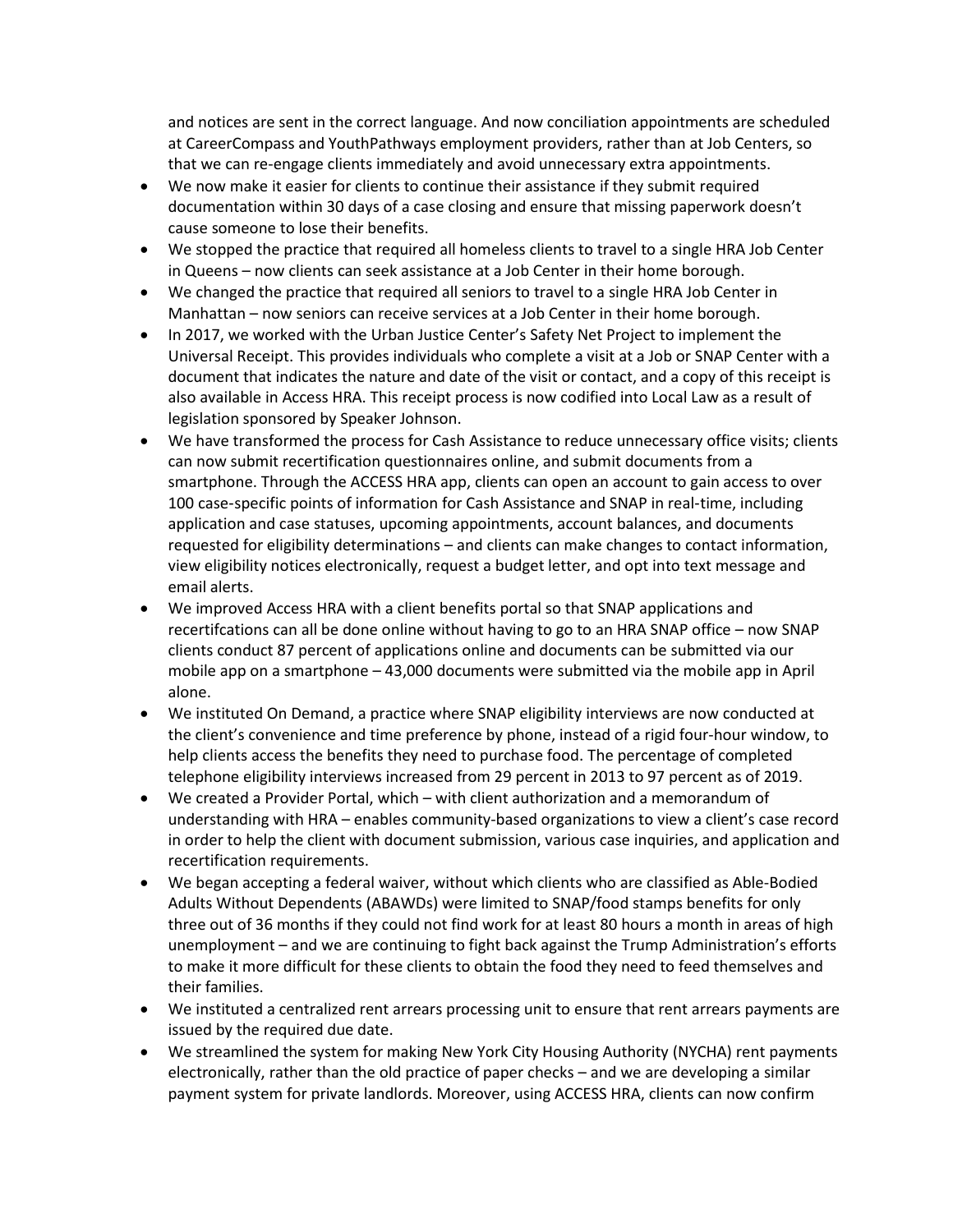and notices are sent in the correct language. And now conciliation appointments are scheduled at CareerCompass and YouthPathways employment providers, rather than at Job Centers, so that we can re-engage clients immediately and avoid unnecessary extra appointments.

- We now make it easier for clients to continue their assistance if they submit required documentation within 30 days of a case closing and ensure that missing paperwork doesn't cause someone to lose their benefits.
- We stopped the practice that required all homeless clients to travel to a single HRA Job Center in Queens – now clients can seek assistance at a Job Center in their home borough.
- We changed the practice that required all seniors to travel to a single HRA Job Center in Manhattan – now seniors can receive services at a Job Center in their home borough.
- In 2017, we worked with the Urban Justice Center's Safety Net Project to implement the Universal Receipt. This provides individuals who complete a visit at a Job or SNAP Center with a document that indicates the nature and date of the visit or contact, and a copy of this receipt is also available in Access HRA. This receipt process is now codified into Local Law as a result of legislation sponsored by Speaker Johnson.
- We have transformed the process for Cash Assistance to reduce unnecessary office visits; clients can now submit recertification questionnaires online, and submit documents from a smartphone. Through the ACCESS HRA app, clients can open an account to gain access to over 100 case-specific points of information for Cash Assistance and SNAP in real-time, including application and case statuses, upcoming appointments, account balances, and documents requested for eligibility determinations – and clients can make changes to contact information, view eligibility notices electronically, request a budget letter, and opt into text message and email alerts.
- We improved Access HRA with a client benefits portal so that SNAP applications and recertifcations can all be done online without having to go to an HRA SNAP office – now SNAP clients conduct 87 percent of applications online and documents can be submitted via our mobile app on a smartphone – 43,000 documents were submitted via the mobile app in April alone.
- We instituted On Demand, a practice where SNAP eligibility interviews are now conducted at the client's convenience and time preference by phone, instead of a rigid four-hour window, to help clients access the benefits they need to purchase food. The percentage of completed telephone eligibility interviews increased from 29 percent in 2013 to 97 percent as of 2019.
- We created a Provider Portal, which with client authorization and a memorandum of understanding with HRA – enables community-based organizations to view a client's case record in order to help the client with document submission, various case inquiries, and application and recertification requirements.
- We began accepting a federal waiver, without which clients who are classified as Able-Bodied Adults Without Dependents (ABAWDs) were limited to SNAP/food stamps benefits for only three out of 36 months if they could not find work for at least 80 hours a month in areas of high unemployment – and we are continuing to fight back against the Trump Administration's efforts to make it more difficult for these clients to obtain the food they need to feed themselves and their families.
- We instituted a centralized rent arrears processing unit to ensure that rent arrears payments are issued by the required due date.
- We streamlined the system for making New York City Housing Authority (NYCHA) rent payments electronically, rather than the old practice of paper checks – and we are developing a similar payment system for private landlords. Moreover, using ACCESS HRA, clients can now confirm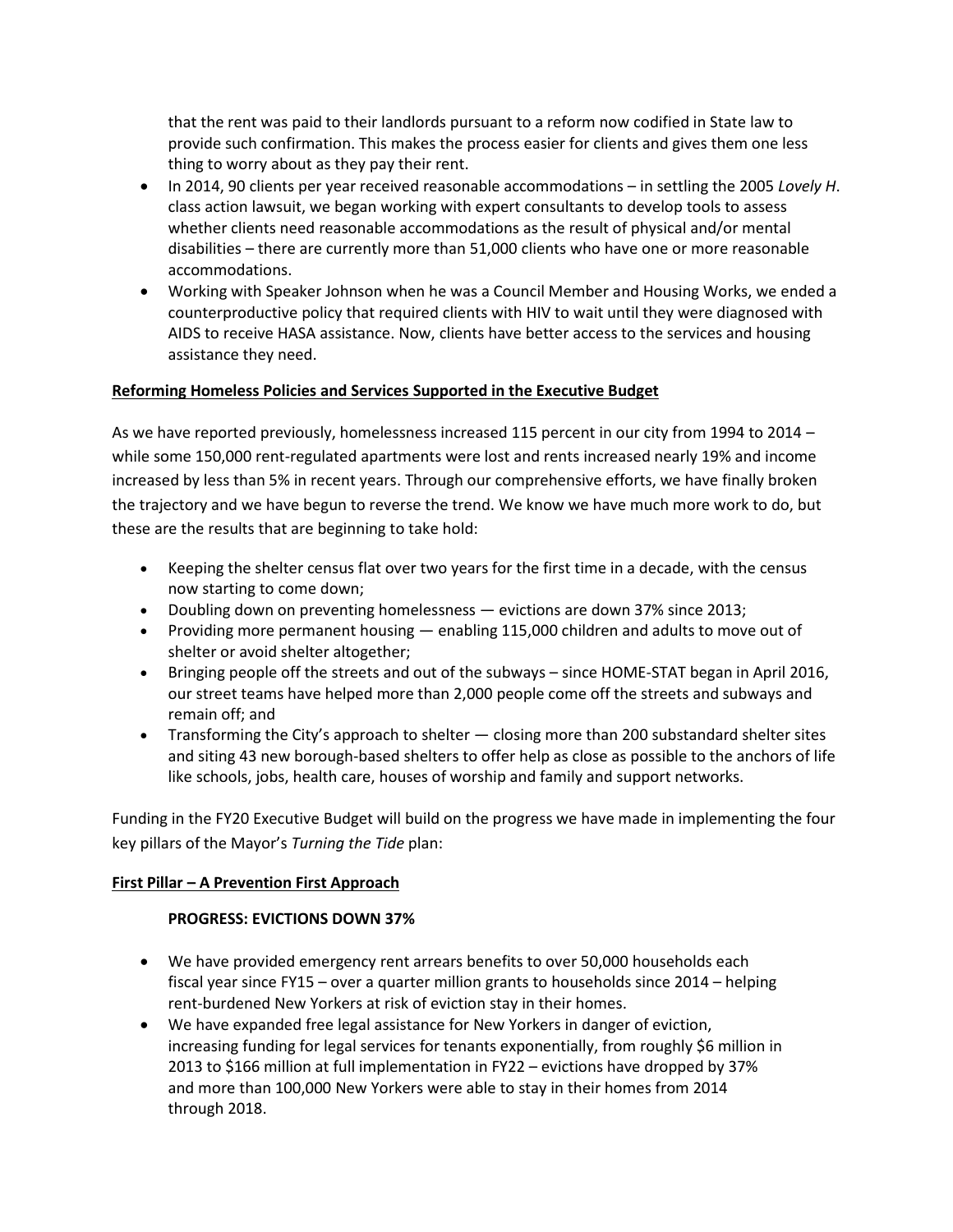that the rent was paid to their landlords pursuant to a reform now codified in State law to provide such confirmation. This makes the process easier for clients and gives them one less thing to worry about as they pay their rent.

- In 2014, 90 clients per year received reasonable accommodations in settling the 2005 *Lovely H*. class action lawsuit, we began working with expert consultants to develop tools to assess whether clients need reasonable accommodations as the result of physical and/or mental disabilities – there are currently more than 51,000 clients who have one or more reasonable accommodations.
- Working with Speaker Johnson when he was a Council Member and Housing Works, we ended a counterproductive policy that required clients with HIV to wait until they were diagnosed with AIDS to receive HASA assistance. Now, clients have better access to the services and housing assistance they need.

## **Reforming Homeless Policies and Services Supported in the Executive Budget**

As we have reported previously, homelessness increased 115 percent in our city from 1994 to 2014 – while some 150,000 rent-regulated apartments were lost and rents increased nearly 19% and income increased by less than 5% in recent years. Through our comprehensive efforts, we have finally broken the trajectory and we have begun to reverse the trend. We know we have much more work to do, but these are the results that are beginning to take hold:

- Keeping the shelter census flat over two years for the first time in a decade, with the census now starting to come down;
- Doubling down on preventing homelessness evictions are down 37% since 2013;
- Providing more permanent housing enabling 115,000 children and adults to move out of shelter or avoid shelter altogether;
- Bringing people off the streets and out of the subways since HOME-STAT began in April 2016, our street teams have helped more than 2,000 people come off the streets and subways and remain off; and
- Transforming the City's approach to shelter closing more than 200 substandard shelter sites and siting 43 new borough-based shelters to offer help as close as possible to the anchors of life like schools, jobs, health care, houses of worship and family and support networks.

Funding in the FY20 Executive Budget will build on the progress we have made in implementing the four key pillars of the Mayor's *Turning the Tide* plan:

# **First Pillar – A Prevention First Approach**

### **PROGRESS: EVICTIONS DOWN 37%**

- We have provided emergency rent arrears benefits to over 50,000 households each fiscal year since FY15 – over a quarter million grants to households since 2014 – helping rent-burdened New Yorkers at risk of eviction stay in their homes.
- We have expanded free legal assistance for New Yorkers in danger of eviction, increasing funding for legal services for tenants exponentially, from roughly \$6 million in 2013 to \$166 million at full implementation in FY22 – evictions have dropped by 37% and more than 100,000 New Yorkers were able to stay in their homes from 2014 through 2018.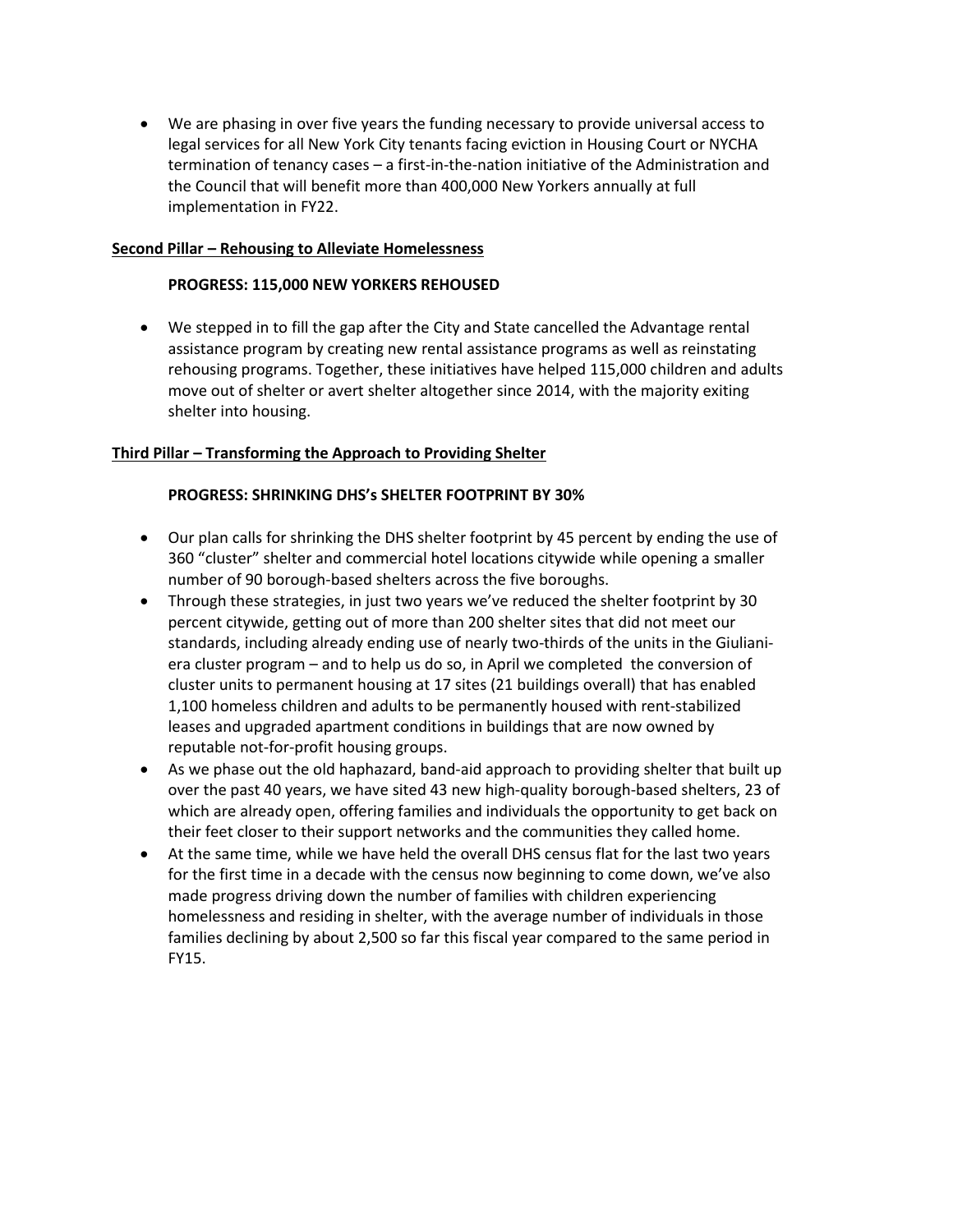We are phasing in over five years the funding necessary to provide universal access to legal services for all New York City tenants facing eviction in Housing Court or NYCHA termination of tenancy cases – a first-in-the-nation initiative of the Administration and the Council that will benefit more than 400,000 New Yorkers annually at full implementation in FY22.

### **Second Pillar – Rehousing to Alleviate Homelessness**

### **PROGRESS: 115,000 NEW YORKERS REHOUSED**

 We stepped in to fill the gap after the City and State cancelled the Advantage rental assistance program by creating new rental assistance programs as well as reinstating rehousing programs. Together, these initiatives have helped 115,000 children and adults move out of shelter or avert shelter altogether since 2014, with the majority exiting shelter into housing.

#### **Third Pillar – Transforming the Approach to Providing Shelter**

#### **PROGRESS: SHRINKING DHS's SHELTER FOOTPRINT BY 30%**

- Our plan calls for shrinking the DHS shelter footprint by 45 percent by ending the use of 360 "cluster" shelter and commercial hotel locations citywide while opening a smaller number of 90 borough-based shelters across the five boroughs.
- Through these strategies, in just two years we've reduced the shelter footprint by 30 percent citywide, getting out of more than 200 shelter sites that did not meet our standards, including already ending use of nearly two-thirds of the units in the Giulianiera cluster program – and to help us do so, in April we completed the conversion of cluster units to permanent housing at 17 sites (21 buildings overall) that has enabled 1,100 homeless children and adults to be permanently housed with rent-stabilized leases and upgraded apartment conditions in buildings that are now owned by reputable not-for-profit housing groups.
- As we phase out the old haphazard, band-aid approach to providing shelter that built up over the past 40 years, we have sited 43 new high-quality borough-based shelters, 23 of which are already open, offering families and individuals the opportunity to get back on their feet closer to their support networks and the communities they called home.
- At the same time, while we have held the overall DHS census flat for the last two years for the first time in a decade with the census now beginning to come down, we've also made progress driving down the number of families with children experiencing homelessness and residing in shelter, with the average number of individuals in those families declining by about 2,500 so far this fiscal year compared to the same period in FY15.